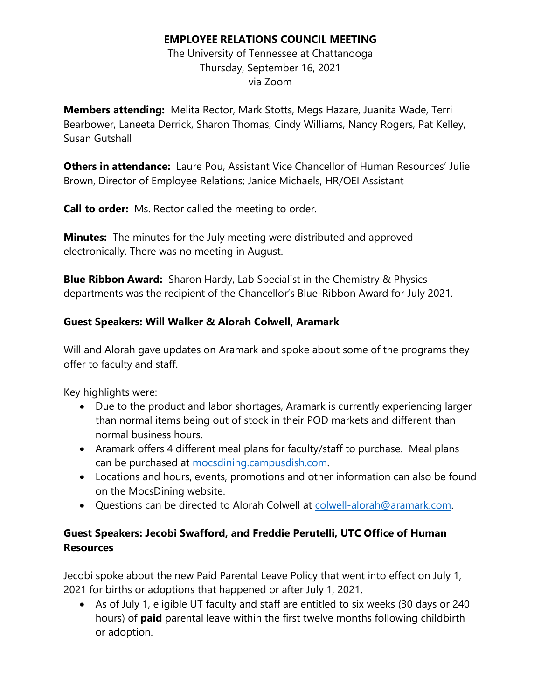#### **EMPLOYEE RELATIONS COUNCIL MEETING**

The University of Tennessee at Chattanooga Thursday, September 16, 2021 via Zoom

**Members attending:** Melita Rector, Mark Stotts, Megs Hazare, Juanita Wade, Terri Bearbower, Laneeta Derrick, Sharon Thomas, Cindy Williams, Nancy Rogers, Pat Kelley, Susan Gutshall

**Others in attendance:** Laure Pou, Assistant Vice Chancellor of Human Resources' Julie Brown, Director of Employee Relations; Janice Michaels, HR/OEI Assistant

**Call to order:** Ms. Rector called the meeting to order.

**Minutes:** The minutes for the July meeting were distributed and approved electronically. There was no meeting in August.

**Blue Ribbon Award:** Sharon Hardy, Lab Specialist in the Chemistry & Physics departments was the recipient of the Chancellor's Blue-Ribbon Award for July 2021.

#### **Guest Speakers: Will Walker & Alorah Colwell, Aramark**

Will and Alorah gave updates on Aramark and spoke about some of the programs they offer to faculty and staff.

Key highlights were:

- Due to the product and labor shortages, Aramark is currently experiencing larger than normal items being out of stock in their POD markets and different than normal business hours.
- Aramark offers 4 different meal plans for faculty/staff to purchase. Meal plans can be purchased at [mocsdining.campusdish.com.](https://mocsdining.campusdish.com/MealPlans/Category?cat=Faculty_and_Staff_6638&lid=6638)
- Locations and hours, events, promotions and other information can also be found on the MocsDining website.
- Questions can be directed to Alorah Colwell at [colwell-alorah@aramark.com.](mailto:colwell-alorah@aramark.com)

### **Guest Speakers: Jecobi Swafford, and Freddie Perutelli, UTC Office of Human Resources**

Jecobi spoke about the new Paid Parental Leave Policy that went into effect on July 1, 2021 for births or adoptions that happened or after July 1, 2021.

• As of July 1, eligible UT faculty and staff are entitled to six weeks (30 days or 240 hours) of **paid** parental leave within the first twelve months following childbirth or adoption.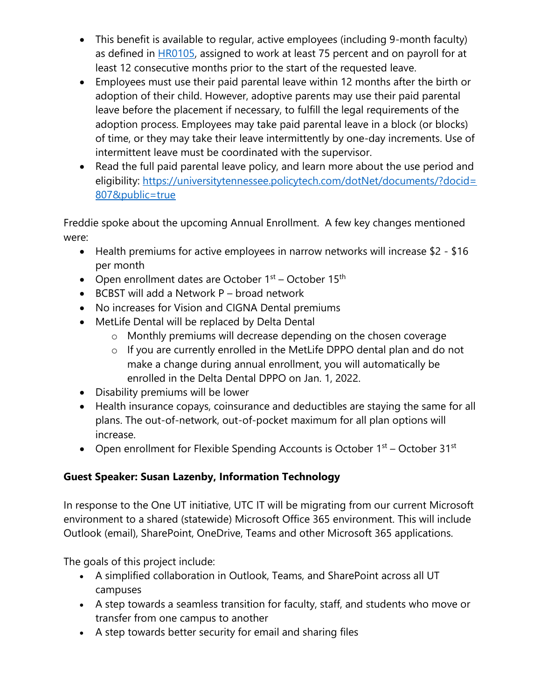- This benefit is available to regular, active employees (including 9-month faculty) as defined in [HR0105,](https://tennessee.us9.list-manage.com/track/click?u=d896b38de9dd8fd3c043073b3&id=3f8e2ef588&e=4c4c507653) assigned to work at least 75 percent and on payroll for at least 12 consecutive months prior to the start of the requested leave.
- Employees must use their paid parental leave within 12 months after the birth or adoption of their child. However, adoptive parents may use their paid parental leave before the placement if necessary, to fulfill the legal requirements of the adoption process. Employees may take paid parental leave in a block (or blocks) of time, or they may take their leave intermittently by one-day increments. Use of intermittent leave must be coordinated with the supervisor.
- Read the full paid parental leave policy, and learn more about the use period and eligibility: [https://universitytennessee.policytech.com/dotNet/documents/?docid=](https://tennessee.us9.list-manage.com/track/click?u=d896b38de9dd8fd3c043073b3&id=5bef198289&e=4c4c507653) [807&public=true](https://tennessee.us9.list-manage.com/track/click?u=d896b38de9dd8fd3c043073b3&id=5bef198289&e=4c4c507653)

Freddie spoke about the upcoming Annual Enrollment. A few key changes mentioned were:

- Health premiums for active employees in narrow networks will increase \$2 \$16 per month
- Open enrollment dates are October  $1^{st}$  October  $15^{th}$
- BCBST will add a Network P broad network
- No increases for Vision and CIGNA Dental premiums
- MetLife Dental will be replaced by Delta Dental
	- o Monthly premiums will decrease depending on the chosen coverage
	- o If you are currently enrolled in the MetLife DPPO dental plan and do not make a change during annual enrollment, you will automatically be enrolled in the Delta Dental DPPO on Jan. 1, 2022.
- Disability premiums will be lower
- Health insurance copays, coinsurance and deductibles are staying the same for all plans. The out-of-network, out-of-pocket maximum for all plan options will increase.
- Open enrollment for Flexible Spending Accounts is October  $1<sup>st</sup>$  October 31<sup>st</sup>

# **Guest Speaker: Susan Lazenby, Information Technology**

In response to the One UT initiative, UTC IT will be migrating from our current Microsoft environment to a shared (statewide) Microsoft Office 365 environment. This will include Outlook (email), SharePoint, OneDrive, Teams and other Microsoft 365 applications.

The goals of this project include:

- A simplified collaboration in Outlook, Teams, and SharePoint across all UT campuses
- A step towards a seamless transition for faculty, staff, and students who move or transfer from one campus to another
- A step towards better security for email and sharing files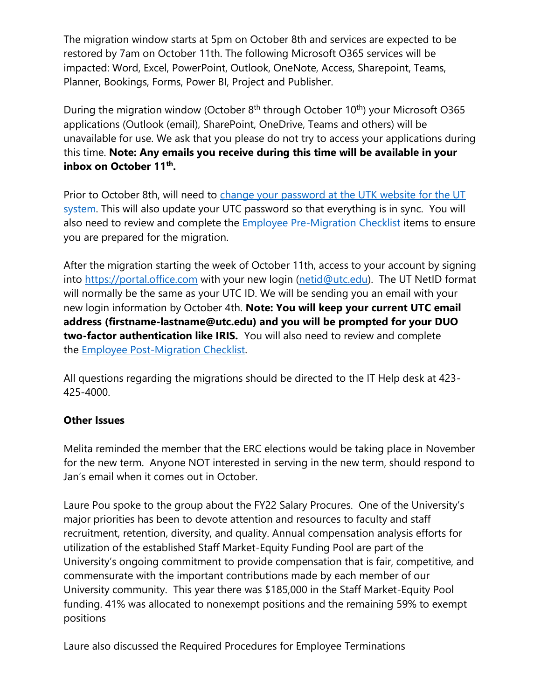The migration window starts at 5pm on October 8th and services are expected to be restored by 7am on October 11th. The following Microsoft O365 services will be impacted: Word, Excel, PowerPoint, Outlook, OneNote, Access, Sharepoint, Teams, Planner, Bookings, Forms, Power BI, Project and Publisher.

During the migration window (October  $8<sup>th</sup>$  through October 10<sup>th</sup>) your Microsoft O365 applications (Outlook (email), SharePoint, OneDrive, Teams and others) will be unavailable for use. We ask that you please do not try to access your applications during this time. **Note: Any emails you receive during this time will be available in your inbox on October 11th .**

Prior to October 8th, will need to [change your password at the UTK website for the UT](https://utc.teamdynamix.com/TDClient/2717/Portal/KB/ArticleDet?ID=134371)  [system.](https://utc.teamdynamix.com/TDClient/2717/Portal/KB/ArticleDet?ID=134371) This will also update your UTC password so that everything is in sync. You will also need to review and complete the **[Employee Pre-Migration Checklist](https://utc.teamdynamix.com/TDClient/2717/Portal/KB/?CategoryID=22322)** items to ensure you are prepared for the migration.

After the migration starting the week of October 11th, access to your account by signing into [https://portal.office.com](https://portal.office.com/) with your new login [\(netid@utc.edu\)](mailto:netid@utc.edu). The UT NetID format will normally be the same as your UTC ID. We will be sending you an email with your new login information by October 4th. **Note: You will keep your current UTC email address (firstname-lastname@utc.edu) and you will be prompted for your DUO two-factor authentication like IRIS.** You will also need to review and complete the [Employee Post-Migration Checklist.](https://utc.teamdynamix.com/TDClient/2717/Portal/KB/?CategoryID=22323)

All questions regarding the migrations should be directed to the IT Help desk at 423- 425-4000.

#### **Other Issues**

Melita reminded the member that the ERC elections would be taking place in November for the new term. Anyone NOT interested in serving in the new term, should respond to Jan's email when it comes out in October.

Laure Pou spoke to the group about the FY22 Salary Procures. One of the University's major priorities has been to devote attention and resources to faculty and staff recruitment, retention, diversity, and quality. Annual compensation analysis efforts for utilization of the established Staff Market-Equity Funding Pool are part of the University's ongoing commitment to provide compensation that is fair, competitive, and commensurate with the important contributions made by each member of our University community. This year there was \$185,000 in the Staff Market-Equity Pool funding. 41% was allocated to nonexempt positions and the remaining 59% to exempt positions

Laure also discussed the Required Procedures for Employee Terminations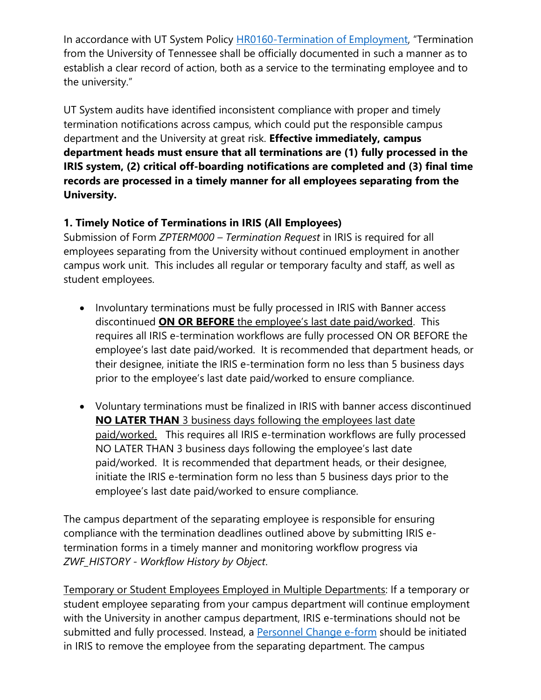In accordance with UT System Policy **HR0160-Termination of Employment**, "Termination from the University of Tennessee shall be officially documented in such a manner as to establish a clear record of action, both as a service to the terminating employee and to the university."

UT System audits have identified inconsistent compliance with proper and timely termination notifications across campus, which could put the responsible campus department and the University at great risk. **Effective immediately, campus department heads must ensure that all terminations are (1) fully processed in the IRIS system, (2) critical off-boarding notifications are completed and (3) final time records are processed in a timely manner for all employees separating from the University.** 

### **1. Timely Notice of Terminations in IRIS (All Employees)**

Submission of Form *ZPTERM000 – Termination Request* in IRIS is required for all employees separating from the University without continued employment in another campus work unit. This includes all regular or temporary faculty and staff, as well as student employees.

- Involuntary terminations must be fully processed in IRIS with Banner access discontinued **ON OR BEFORE** the employee's last date paid/worked. This requires all IRIS e-termination workflows are fully processed ON OR BEFORE the employee's last date paid/worked. It is recommended that department heads, or their designee, initiate the IRIS e-termination form no less than 5 business days prior to the employee's last date paid/worked to ensure compliance.
- Voluntary terminations must be finalized in IRIS with banner access discontinued **NO LATER THAN** 3 business days following the employees last date paid/worked. This requires all IRIS e-termination workflows are fully processed NO LATER THAN 3 business days following the employee's last date paid/worked. It is recommended that department heads, or their designee, initiate the IRIS e-termination form no less than 5 business days prior to the employee's last date paid/worked to ensure compliance.

The campus department of the separating employee is responsible for ensuring compliance with the termination deadlines outlined above by submitting IRIS etermination forms in a timely manner and monitoring workflow progress via *ZWF\_HISTORY - Workflow History by Object*.

Temporary or Student Employees Employed in Multiple Departments: If a temporary or student employee separating from your campus department will continue employment with the University in another campus department, IRIS e-terminations should not be submitted and fully processed. Instead, a [Personnel Change e-form](https://www.utc.edu/document/55191) should be initiated in IRIS to remove the employee from the separating department. The campus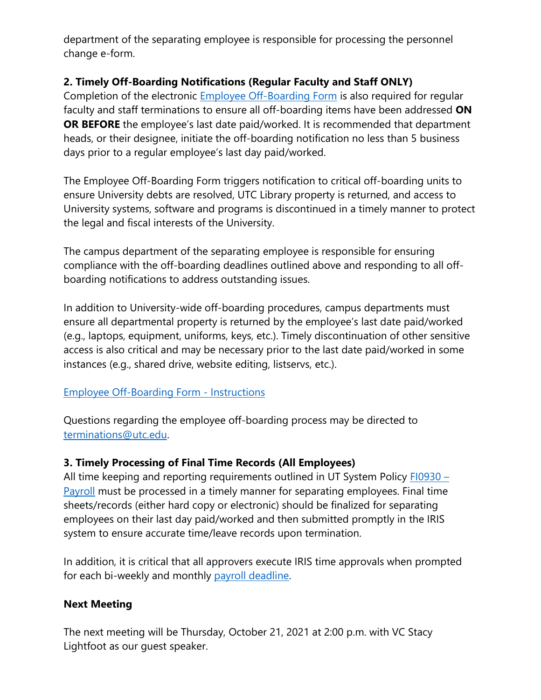department of the separating employee is responsible for processing the personnel change e-form.

#### **2. Timely Off-Boarding Notifications (Regular Faculty and Staff ONLY)**

Completion of the electronic [Employee Off-Boarding Form](https://mocsutc0.sharepoint.com/sites/HR/SitePages/Off-Boarding.aspx) is also required for regular faculty and staff terminations to ensure all off-boarding items have been addressed **ON OR BEFORE** the employee's last date paid/worked. It is recommended that department heads, or their designee, initiate the off-boarding notification no less than 5 business days prior to a regular employee's last day paid/worked.

The Employee Off-Boarding Form triggers notification to critical off-boarding units to ensure University debts are resolved, UTC Library property is returned, and access to University systems, software and programs is discontinued in a timely manner to protect the legal and fiscal interests of the University.

The campus department of the separating employee is responsible for ensuring compliance with the off-boarding deadlines outlined above and responding to all offboarding notifications to address outstanding issues.

In addition to University-wide off-boarding procedures, campus departments must ensure all departmental property is returned by the employee's last date paid/worked (e.g., laptops, equipment, uniforms, keys, etc.). Timely discontinuation of other sensitive access is also critical and may be necessary prior to the last date paid/worked in some instances (e.g., shared drive, website editing, listservs, etc.).

#### [Employee Off-Boarding Form -](https://www.utc.edu/sites/default/files/2021-09/Employee%20Off-Boarding%20Form%20-%20Instructions.pdf) Instructions

Questions regarding the employee off-boarding process may be directed to [terminations@utc.edu.](mailto:terminations@utc.edu)

# **3. Timely Processing of Final Time Records (All Employees)**

All time keeping and reporting requirements outlined in UT System Policy [FI0930](https://universitytennessee.policytech.com/dotNet/documents/?docid=702&public=true) – [Payroll](https://universitytennessee.policytech.com/dotNet/documents/?docid=702&public=true) must be processed in a timely manner for separating employees. Final time sheets/records (either hard copy or electronic) should be finalized for separating employees on their last day paid/worked and then submitted promptly in the IRIS system to ensure accurate time/leave records upon termination.

In addition, it is critical that all approvers execute IRIS time approvals when prompted for each bi-weekly and monthly [payroll deadline.](https://iris.tennessee.edu/payroll-deadlines/)

#### **Next Meeting**

The next meeting will be Thursday, October 21, 2021 at 2:00 p.m. with VC Stacy Lightfoot as our guest speaker.